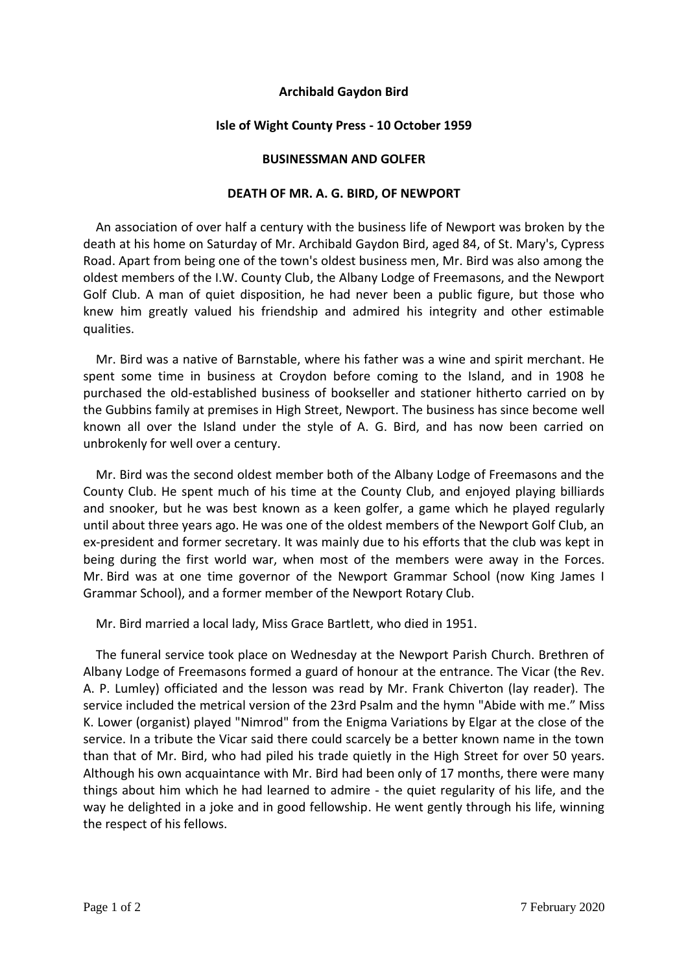## **Archibald Gaydon Bird**

## **Isle of Wight County Press - 10 October 1959**

## **BUSINESSMAN AND GOLFER**

## **DEATH OF MR. A. G. BIRD, OF NEWPORT**

 An association of over half a century with the business life of Newport was broken by the death at his home on Saturday of Mr. Archibald Gaydon Bird, aged 84, of St. Mary's, Cypress Road. Apart from being one of the town's oldest business men, Mr. Bird was also among the oldest members of the I.W. County Club, the Albany Lodge of Freemasons, and the Newport Golf Club. A man of quiet disposition, he had never been a public figure, but those who knew him greatly valued his friendship and admired his integrity and other estimable qualities.

 Mr. Bird was a native of Barnstable, where his father was a wine and spirit merchant. He spent some time in business at Croydon before coming to the Island, and in 1908 he purchased the old-established business of bookseller and stationer hitherto carried on by the Gubbins family at premises in High Street, Newport. The business has since become well known all over the Island under the style of A. G. Bird, and has now been carried on unbrokenly for well over a century.

 Mr. Bird was the second oldest member both of the Albany Lodge of Freemasons and the County Club. He spent much of his time at the County Club, and enjoyed playing billiards and snooker, but he was best known as a keen golfer, a game which he played regularly until about three years ago. He was one of the oldest members of the Newport Golf Club, an ex-president and former secretary. It was mainly due to his efforts that the club was kept in being during the first world war, when most of the members were away in the Forces. Mr. Bird was at one time governor of the Newport Grammar School (now King James I Grammar School), and a former member of the Newport Rotary Club.

Mr. Bird married a local lady, Miss Grace Bartlett, who died in 1951.

 The funeral service took place on Wednesday at the Newport Parish Church. Brethren of Albany Lodge of Freemasons formed a guard of honour at the entrance. The Vicar (the Rev. A. P. Lumley) officiated and the lesson was read by Mr. Frank Chiverton (lay reader). The service included the metrical version of the 23rd Psalm and the hymn "Abide with me." Miss K. Lower (organist) played "Nimrod" from the Enigma Variations by Elgar at the close of the service. In a tribute the Vicar said there could scarcely be a better known name in the town than that of Mr. Bird, who had piled his trade quietly in the High Street for over 50 years. Although his own acquaintance with Mr. Bird had been only of 17 months, there were many things about him which he had learned to admire - the quiet regularity of his life, and the way he delighted in a joke and in good fellowship. He went gently through his life, winning the respect of his fellows.